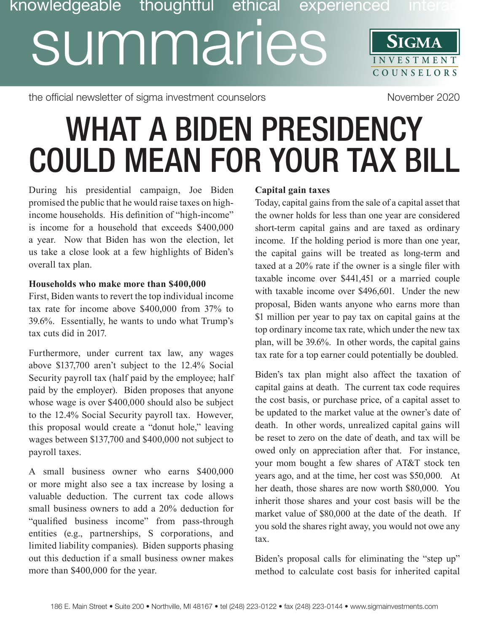# **SIGMA** Discription of the UMINICS SIGMA<br>SUMMARIES SIGMA **COUNSE L O R S** knowledgeable thoughtful ethical experienced inte

the official newsletter of sigma investment counselors November 2020

# WHAT A BIDEN PRESIDENCY COULD MEAN FOR YOUR TAX BILL

During his presidential campaign, Joe Biden promised the public that he would raise taxes on highincome households. His definition of "high-income" is income for a household that exceeds \$400,000 a year. Now that Biden has won the election, let us take a close look at a few highlights of Biden's overall tax plan.

# **Households who make more than \$400,000**

First, Biden wants to revert the top individual income tax rate for income above \$400,000 from 37% to 39.6%. Essentially, he wants to undo what Trump's tax cuts did in 2017.

Furthermore, under current tax law, any wages above \$137,700 aren't subject to the 12.4% Social Security payroll tax (half paid by the employee; half paid by the employer). Biden proposes that anyone whose wage is over \$400,000 should also be subject to the 12.4% Social Security payroll tax. However, this proposal would create a "donut hole," leaving wages between \$137,700 and \$400,000 not subject to payroll taxes.

A small business owner who earns \$400,000 or more might also see a tax increase by losing a valuable deduction. The current tax code allows small business owners to add a 20% deduction for "qualified business income" from pass-through entities (e.g., partnerships, S corporations, and limited liability companies). Biden supports phasing out this deduction if a small business owner makes more than \$400,000 for the year.

# **Capital gain taxes**

Today, capital gains from the sale of a capital asset that the owner holds for less than one year are considered short-term capital gains and are taxed as ordinary income. If the holding period is more than one year, the capital gains will be treated as long-term and taxed at a 20% rate if the owner is a single filer with taxable income over \$441,451 or a married couple with taxable income over \$496,601. Under the new proposal, Biden wants anyone who earns more than \$1 million per year to pay tax on capital gains at the top ordinary income tax rate, which under the new tax plan, will be 39.6%. In other words, the capital gains tax rate for a top earner could potentially be doubled.

Biden's tax plan might also affect the taxation of capital gains at death. The current tax code requires the cost basis, or purchase price, of a capital asset to be updated to the market value at the owner's date of death. In other words, unrealized capital gains will be reset to zero on the date of death, and tax will be owed only on appreciation after that. For instance, your mom bought a few shares of AT&T stock ten years ago, and at the time, her cost was \$50,000. At her death, those shares are now worth \$80,000. You inherit those shares and your cost basis will be the market value of \$80,000 at the date of the death. If you sold the shares right away, you would not owe any tax.

Biden's proposal calls for eliminating the "step up" method to calculate cost basis for inherited capital